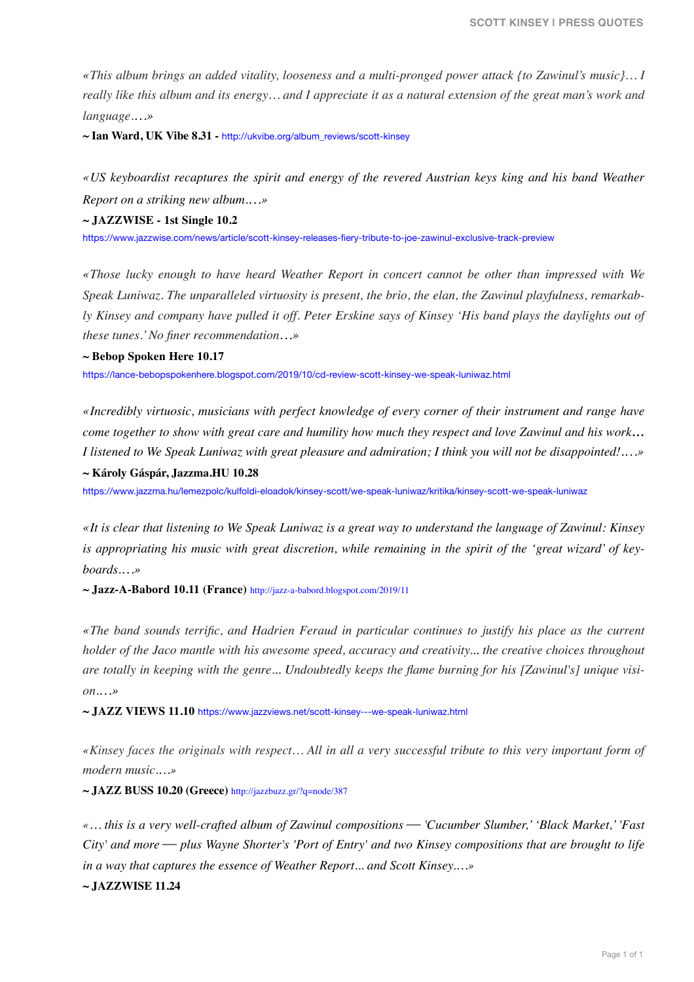*«This album brings an added vitality, looseness and a multi-pronged power attack {to Zawinul's music}… I really like this album and its energy… and I appreciate it as a natural extension of the great man's work and language.…»* 

**~ Ian Ward, UK Vibe 8.31 -** http://ukvibe.org/album\_reviews/scott-kinsey

*«US keyboardist recaptures the spirit and energy of the revered Austrian keys king and his band Weather Report on a striking new album.…»*

**~ JAZZWISE - 1st Single 10.2** 

https://www.jazzwise.com/news/article/scott-kinsey-releases-fiery-tribute-to-joe-zawinul-exclusive-track-preview

*«Those lucky enough to have heard Weather Report in concert cannot be other than impressed with We Speak Luniwaz. The unparalleled virtuosity is present, the brio, the elan, the Zawinul playfulness, remarkably Kinsey and company have pulled it off. Peter Erskine says of Kinsey 'His band plays the daylights out of these tunes.' No finer recommendation…»*

**~ Bebop Spoken Here 10.17** 

https://lance-bebopspokenhere.blogspot.com/2019/10/cd-review-scott-kinsey-we-speak-luniwaz.html

*«Incredibly virtuosic, musicians with perfect knowledge of every corner of their instrument and range have come together to show with great care and humility how much they respect and love Zawinul and his work… I listened to We Speak Luniwaz with great pleasure and admiration; I think you will not be disappointed!.…»*

**~ Károly Gáspár, Jazzma.HU 10.28** 

https://www.jazzma.hu/lemezpolc/kulfoldi-eloadok/kinsey-scott/we-speak-luniwaz/kritika/kinsey-scott-we-speak-luniwaz

*«It is clear that listening to We Speak Luniwaz is a great way to understand the language of Zawinul: Kinsey is appropriating his music with great discretion, while remaining in the spirit of the 'great wizard' of keyboards.…»*

**~ Jazz-A-Babord 10.11 (France)** http://jazz-a-babord.blogspot.com/2019/11

*«The band sounds terrific, and Hadrien Feraud in particular continues to justify his place as the current holder of the Jaco mantle with his awesome speed, accuracy and creativity... the creative choices throughout are totally in keeping with the genre... Undoubtedly keeps the flame burning for his [Zawinul's] unique vision.…»*

**~ JAZZ VIEWS 11.10** https://www.jazzviews.net/scott-kinsey---we-speak-luniwaz.html

*«Kinsey faces the originals with respect… All in all a very successful tribute to this very important form of modern music.…»* 

**~ JAZZ BUSS 10.20 (Greece)** <http://jazzbuzz.gr/?q=node/387>

*«… this is a very well-crafted album of Zawinul compositions* ⎯ *'Cucumber Slumber,' 'Black Market,' 'Fast City' and more* — *plus Wayne Shorter's 'Port of Entry' and two Kinsey compositions that are brought to life in a way that captures the essence of Weather Report... and Scott Kinsey.…»* 

**~ JAZZWISE 11.24**